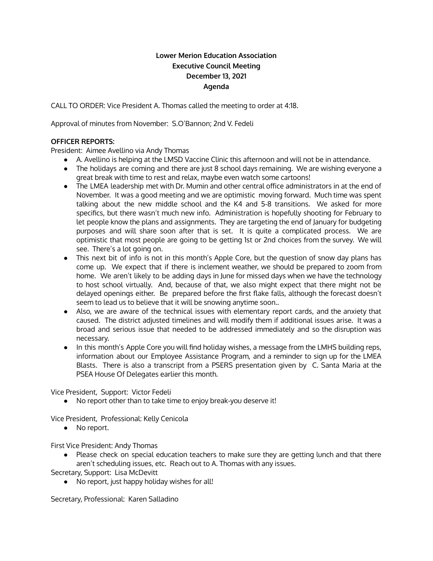# **Lower Merion Education Association Executive Council Meeting December 13, 2021 Agenda**

CALL TO ORDER: Vice President A. Thomas called the meeting to order at 4:18.

Approval of minutes from November: S.O'Bannon; 2nd V. Fedeli

## **OFFICER REPORTS:**

President: Aimee Avellino via Andy Thomas

- A. Avellino is helping at the LMSD Vaccine Clinic this afternoon and will not be in attendance.
- The holidays are coming and there are just 8 school days remaining. We are wishing everyone a great break with time to rest and relax, maybe even watch some cartoons!
- The LMEA leadership met with Dr. Mumin and other central office administrators in at the end of November. It was a good meeting and we are optimistic moving forward. Much time was spent talking about the new middle school and the K4 and 5-8 transitions. We asked for more specifics, but there wasn't much new info. Administration is hopefully shooting for February to let people know the plans and assignments. They are targeting the end of January for budgeting purposes and will share soon after that is set. It is quite a complicated process. We are optimistic that most people are going to be getting 1st or 2nd choices from the survey. We will see. There's a lot going on.
- This next bit of info is not in this month's Apple Core, but the question of snow day plans has come up. We expect that if there is inclement weather, we should be prepared to zoom from home. We aren't likely to be adding days in June for missed days when we have the technology to host school virtually. And, because of that, we also might expect that there might not be delayed openings either. Be prepared before the first flake falls, although the forecast doesn't seem to lead us to believe that it will be snowing anytime soon..
- Also, we are aware of the technical issues with elementary report cards, and the anxiety that caused. The district adjusted timelines and will modify them if additional issues arise. It was a broad and serious issue that needed to be addressed immediately and so the disruption was necessary.
- In this month's Apple Core you will find holiday wishes, a message from the LMHS building reps, information about our Employee Assistance Program, and a reminder to sign up for the LMEA Blasts. There is also a transcript from a PSERS presentation given by C. Santa Maria at the PSEA House Of Delegates earlier this month.

Vice President, Support: Victor Fedeli

● No report other than to take time to enjoy break-you deserve it!

Vice President, Professional: Kelly Cenicola

● No report.

First Vice President: Andy Thomas

● Please check on special education teachers to make sure they are getting lunch and that there aren't scheduling issues, etc. Reach out to A. Thomas with any issues.

Secretary, Support: Lisa McDevitt

● No report, just happy holiday wishes for all!

Secretary, Professional: Karen Salladino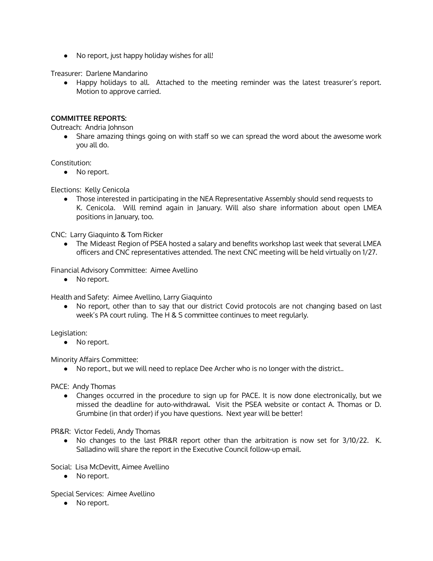● No report, just happy holiday wishes for all!

Treasurer: Darlene Mandarino

● Happy holidays to all. Attached to the meeting reminder was the latest treasurer's report. Motion to approve carried.

## **COMMITTEE REPORTS:**

Outreach: Andria Johnson

● Share amazing things going on with staff so we can spread the word about the awesome work you all do.

Constitution:

● No report.

Elections: Kelly Cenicola

● Those interested in participating in the NEA Representative Assembly should send requests to K. Cenicola. Will remind again in January. Will also share information about open LMEA positions in January, too.

CNC: Larry Giaquinto & Tom Ricker

• The Mideast Region of PSEA hosted a salary and benefits workshop last week that several LMEA officers and CNC representatives attended. The next CNC meeting will be held virtually on 1/27.

Financial Advisory Committee: Aimee Avellino

● No report.

Health and Safety: Aimee Avellino, Larry Giaquinto

● No report, other than to say that our district Covid protocols are not changing based on last week's PA court ruling. The H & S committee continues to meet regularly.

Legislation:

● No report.

Minority Affairs Committee:

● No report., but we will need to replace Dee Archer who is no longer with the district..

PACE: Andy Thomas

● Changes occurred in the procedure to sign up for PACE. It is now done electronically, but we missed the deadline for auto-withdrawal. Visit the PSEA website or contact A. Thomas or D. Grumbine (in that order) if you have questions. Next year will be better!

PR&R: Victor Fedeli, Andy Thomas

● No changes to the last PR&R report other than the arbitration is now set for 3/10/22. K. Salladino will share the report in the Executive Council follow-up email.

Social: Lisa McDevitt, Aimee Avellino

● No report.

Special Services: Aimee Avellino

• No report.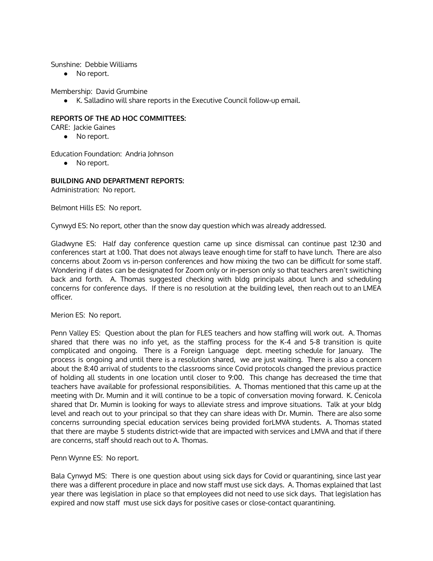#### Sunshine: Debbie Williams

● No report.

Membership: David Grumbine

● K. Salladino will share reports in the Executive Council follow-up email.

## **REPORTS OF THE AD HOC COMMITTEES:**

- CARE: Jackie Gaines
	- No report.

Education Foundation: Andria Johnson

● No report.

## **BUILDING AND DEPARTMENT REPORTS:**

Administration: No report.

Belmont Hills ES: No report.

Cynwyd ES: No report, other than the snow day question which was already addressed.

Gladwyne ES: Half day conference question came up since dismissal can continue past 12:30 and conferences start at 1:00. That does not always leave enough time for staff to have lunch. There are also concerns about Zoom vs in-person conferences and how mixing the two can be difficult for some staff. Wondering if dates can be designated for Zoom only or in-person only so that teachers aren't switiching back and forth. A. Thomas suggested checking with bldg principals about lunch and scheduling concerns for conference days. If there is no resolution at the building level, then reach out to an LMEA officer.

Merion ES: No report.

Penn Valley ES: Question about the plan for FLES teachers and how staffing will work out. A. Thomas shared that there was no info yet, as the staffing process for the K-4 and 5-8 transition is quite complicated and ongoing. There is a Foreign Language dept. meeting schedule for January. The process is ongoing and until there is a resolution shared, we are just waiting. There is also a concern about the 8:40 arrival of students to the classrooms since Covid protocols changed the previous practice of holding all students in one location until closer to 9:00. This change has decreased the time that teachers have available for professional responsibilities. A. Thomas mentioned that this came up at the meeting with Dr. Mumin and it will continue to be a topic of conversation moving forward. K. Cenicola shared that Dr. Mumin is looking for ways to alleviate stress and improve situations. Talk at your bldg level and reach out to your principal so that they can share ideas with Dr. Mumin. There are also some concerns surrounding special education services being provided forLMVA students. A. Thomas stated that there are maybe 5 students district-wide that are impacted with services and LMVA and that if there are concerns, staff should reach out to A. Thomas.

Penn Wynne ES: No report.

Bala Cynwyd MS: There is one question about using sick days for Covid or quarantining, since last year there was a different procedure in place and now staff must use sick days. A. Thomas explained that last year there was legislation in place so that employees did not need to use sick days. That legislation has expired and now staff must use sick days for positive cases or close-contact quarantining.